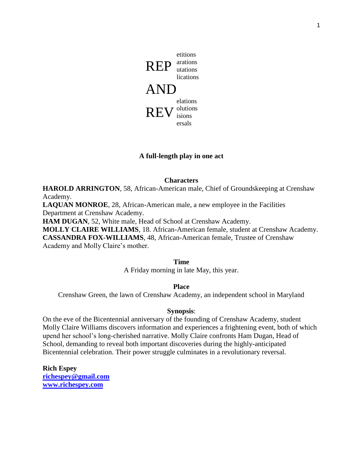

# **A full-length play in one act**

#### **Characters**

**HAROLD ARRINGTON**, 58, African-American male, Chief of Groundskeeping at Crenshaw Academy.

**LAQUAN MONROE**, 28, African-American male, a new employee in the Facilities Department at Crenshaw Academy.

**HAM DUGAN**, 52, White male, Head of School at Crenshaw Academy.

**MOLLY CLAIRE WILLIAMS**, 18. African-American female, student at Crenshaw Academy. **CASSANDRA FOX-WILLIAMS**, 48, African-American female, Trustee of Crenshaw Academy and Molly Claire's mother.

**Time**

A Friday morning in late May, this year.

**Place**

Crenshaw Green, the lawn of Crenshaw Academy, an independent school in Maryland

#### **Synopsis**:

On the eve of the Bicentennial anniversary of the founding of Crenshaw Academy, student Molly Claire Williams discovers information and experiences a frightening event, both of which upend her school's long-cherished narrative. Molly Claire confronts Ham Dugan, Head of School, demanding to reveal both important discoveries during the highly-anticipated Bicentennial celebration. Their power struggle culminates in a revolutionary reversal.

**Rich Espey [richespey@gmail.com](mailto:richespey@gmail.com) www.richespey.com**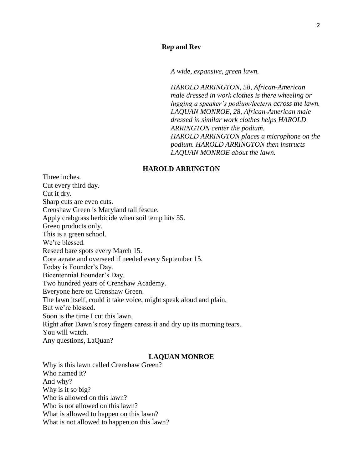*A wide, expansive, green lawn.* 

*HAROLD ARRINGTON, 58, African-American male dressed in work clothes is there wheeling or lugging a speaker's podium/lectern across the lawn. LAQUAN MONROE, 28, African-American male dressed in similar work clothes helps HAROLD ARRINGTON center the podium. HAROLD ARRINGTON places a microphone on the podium. HAROLD ARRINGTON then instructs LAQUAN MONROE about the lawn.*

### **HAROLD ARRINGTON**

Three inches. Cut every third day. Cut it dry. Sharp cuts are even cuts. Crenshaw Green is Maryland tall fescue. Apply crabgrass herbicide when soil temp hits 55. Green products only. This is a green school. We're blessed. Reseed bare spots every March 15. Core aerate and overseed if needed every September 15. Today is Founder's Day. Bicentennial Founder's Day. Two hundred years of Crenshaw Academy. Everyone here on Crenshaw Green. The lawn itself, could it take voice, might speak aloud and plain. But we're blessed. Soon is the time I cut this lawn. Right after Dawn's rosy fingers caress it and dry up its morning tears. You will watch. Any questions, LaQuan?

#### **LAQUAN MONROE**

Why is this lawn called Crenshaw Green? Who named it? And why? Why is it so big? Who is allowed on this lawn? Who is not allowed on this lawn? What is allowed to happen on this lawn? What is not allowed to happen on this lawn?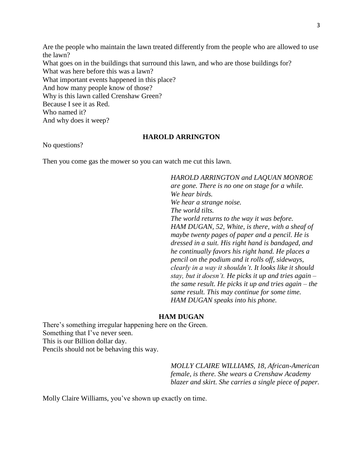Are the people who maintain the lawn treated differently from the people who are allowed to use the lawn? What goes on in the buildings that surround this lawn, and who are those buildings for? What was here before this was a lawn? What important events happened in this place? And how many people know of those? Why is this lawn called Crenshaw Green? Because I see it as Red. Who named it? And why does it weep?

# **HAROLD ARRINGTON**

No questions?

Then you come gas the mower so you can watch me cut this lawn.

*HAROLD ARRINGTON and LAQUAN MONROE are gone. There is no one on stage for a while. We hear birds. We hear a strange noise. The world tilts. The world returns to the way it was before. HAM DUGAN, 52, White, is there, with a sheaf of maybe twenty pages of paper and a pencil. He is dressed in a suit. His right hand is bandaged, and he continually favors his right hand. He places a pencil on the podium and it rolls off, sideways, clearly in a way it shouldn't. It looks like it should stay, but it doesn't. He picks it up and tries again – the same result. He picks it up and tries again – the same result. This may continue for some time. HAM DUGAN speaks into his phone.* 

#### **HAM DUGAN**

There's something irregular happening here on the Green. Something that I've never seen. This is our Billion dollar day. Pencils should not be behaving this way.

> *MOLLY CLAIRE WILLIAMS, 18, African-American female, is there. She wears a Crenshaw Academy blazer and skirt. She carries a single piece of paper.*

Molly Claire Williams, you've shown up exactly on time.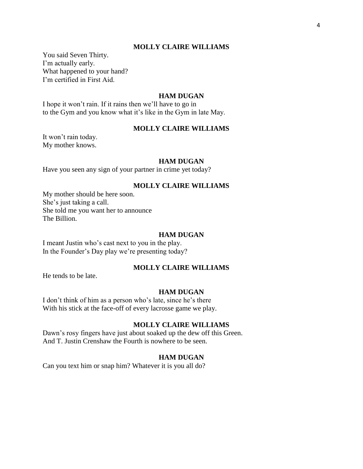You said Seven Thirty. I'm actually early. What happened to your hand? I'm certified in First Aid.

#### **HAM DUGAN**

I hope it won't rain. If it rains then we'll have to go in to the Gym and you know what it's like in the Gym in late May.

#### **MOLLY CLAIRE WILLIAMS**

It won't rain today. My mother knows.

#### **HAM DUGAN**

Have you seen any sign of your partner in crime yet today?

### **MOLLY CLAIRE WILLIAMS**

My mother should be here soon. She's just taking a call. She told me you want her to announce The Billion.

#### **HAM DUGAN**

I meant Justin who's cast next to you in the play. In the Founder's Day play we're presenting today?

# **MOLLY CLAIRE WILLIAMS**

He tends to be late.

#### **HAM DUGAN**

I don't think of him as a person who's late, since he's there With his stick at the face-off of every lacrosse game we play.

#### **MOLLY CLAIRE WILLIAMS**

Dawn's rosy fingers have just about soaked up the dew off this Green. And T. Justin Crenshaw the Fourth is nowhere to be seen.

#### **HAM DUGAN**

Can you text him or snap him? Whatever it is you all do?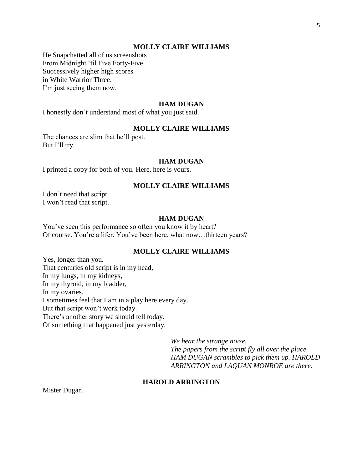He Snapchatted all of us screenshots From Midnight 'til Five Forty-Five. Successively higher high scores in White Warrior Three. I'm just seeing them now.

#### **HAM DUGAN**

I honestly don't understand most of what you just said.

## **MOLLY CLAIRE WILLIAMS**

The chances are slim that he'll post. But I'll try.

#### **HAM DUGAN**

I printed a copy for both of you. Here, here is yours.

#### **MOLLY CLAIRE WILLIAMS**

I don't need that script. I won't read that script.

### **HAM DUGAN**

You've seen this performance so often you know it by heart? Of course. You're a lifer. You've been here, what now…thirteen years?

# **MOLLY CLAIRE WILLIAMS**

Yes, longer than you. That centuries old script is in my head, In my lungs, in my kidneys, In my thyroid, in my bladder, In my ovaries. I sometimes feel that I am in a play here every day. But that script won't work today. There's another story we should tell today. Of something that happened just yesterday.

> *We hear the strange noise. The papers from the script fly all over the place. HAM DUGAN scrambles to pick them up. HAROLD ARRINGTON and LAQUAN MONROE are there.*

### **HAROLD ARRINGTON**

Mister Dugan.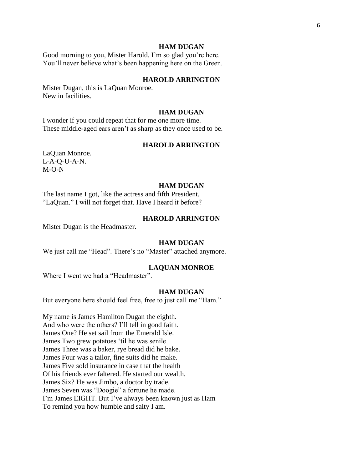#### **HAM DUGAN**

Good morning to you, Mister Harold. I'm so glad you're here. You'll never believe what's been happening here on the Green.

## **HAROLD ARRINGTON**

Mister Dugan, this is LaQuan Monroe. New in facilities.

#### **HAM DUGAN**

I wonder if you could repeat that for me one more time. These middle-aged ears aren't as sharp as they once used to be.

#### **HAROLD ARRINGTON**

LaQuan Monroe. L-A-Q-U-A-N. M-O-N

#### **HAM DUGAN**

The last name I got, like the actress and fifth President. "LaQuan." I will not forget that. Have I heard it before?

### **HAROLD ARRINGTON**

Mister Dugan is the Headmaster.

#### **HAM DUGAN**

We just call me "Head". There's no "Master" attached anymore.

#### **LAQUAN MONROE**

Where I went we had a "Headmaster".

#### **HAM DUGAN**

But everyone here should feel free, free to just call me "Ham."

My name is James Hamilton Dugan the eighth. And who were the others? I'll tell in good faith. James One? He set sail from the Emerald Isle. James Two grew potatoes 'til he was senile. James Three was a baker, rye bread did he bake. James Four was a tailor, fine suits did he make. James Five sold insurance in case that the health Of his friends ever faltered. He started our wealth. James Six? He was Jimbo, a doctor by trade. James Seven was "Doogie" a fortune he made. I'm James EIGHT. But I've always been known just as Ham To remind you how humble and salty I am.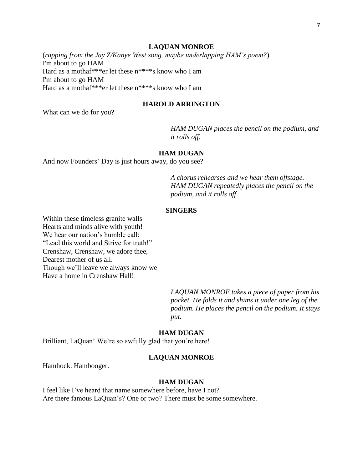#### **LAQUAN MONROE**

(*rapping from the Jay Z/Kanye West song, maybe underlapping HAM's poem?*) I'm about to go HAM Hard as a mothaf\*\*\*er let these n\*\*\*\*s know who I am I'm about to go HAM Hard as a mothaf\*\*\*er let these n\*\*\*\*s know who I am

# **HAROLD ARRINGTON**

What can we do for you?

*HAM DUGAN places the pencil on the podium, and it rolls off.*

#### **HAM DUGAN**

And now Founders' Day is just hours away, do you see?

*A chorus rehearses and we hear them offstage. HAM DUGAN repeatedly places the pencil on the podium, and it rolls off.*

#### **SINGERS**

Within these timeless granite walls Hearts and minds alive with youth! We hear our nation's humble call: "Lead this world and Strive for truth!" Crenshaw, Crenshaw, we adore thee, Dearest mother of us all. Though we'll leave we always know we Have a home in Crenshaw Hall!

> *LAQUAN MONROE takes a piece of paper from his pocket. He folds it and shims it under one leg of the podium. He places the pencil on the podium. It stays put.*

#### **HAM DUGAN**

Brilliant, LaQuan! We're so awfully glad that you're here!

#### **LAQUAN MONROE**

Hamhock. Hambooger.

### **HAM DUGAN**

I feel like I've heard that name somewhere before, have I not? Are there famous LaQuan's? One or two? There must be some somewhere.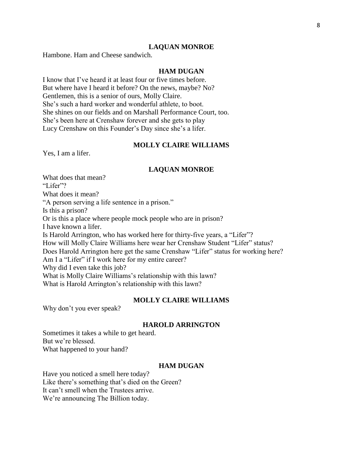#### **LAQUAN MONROE**

Hambone. Ham and Cheese sandwich.

# **HAM DUGAN**

I know that I've heard it at least four or five times before. But where have I heard it before? On the news, maybe? No? Gentlemen, this is a senior of ours, Molly Claire. She's such a hard worker and wonderful athlete, to boot. She shines on our fields and on Marshall Performance Court, too. She's been here at Crenshaw forever and she gets to play Lucy Crenshaw on this Founder's Day since she's a lifer.

### **MOLLY CLAIRE WILLIAMS**

Yes, I am a lifer.

#### **LAQUAN MONROE**

What does that mean? "Lifer"? What does it mean? "A person serving a life sentence in a prison." Is this a prison? Or is this a place where people mock people who are in prison? I have known a lifer. Is Harold Arrington, who has worked here for thirty-five years, a "Lifer"? How will Molly Claire Williams here wear her Crenshaw Student "Lifer" status? Does Harold Arrington here get the same Crenshaw "Lifer" status for working here? Am I a "Lifer" if I work here for my entire career? Why did I even take this job? What is Molly Claire Williams's relationship with this lawn? What is Harold Arrington's relationship with this lawn?

### **MOLLY CLAIRE WILLIAMS**

Why don't you ever speak?

#### **HAROLD ARRINGTON**

Sometimes it takes a while to get heard. But we're blessed. What happened to your hand?

### **HAM DUGAN**

Have you noticed a smell here today? Like there's something that's died on the Green? It can't smell when the Trustees arrive. We're announcing The Billion today.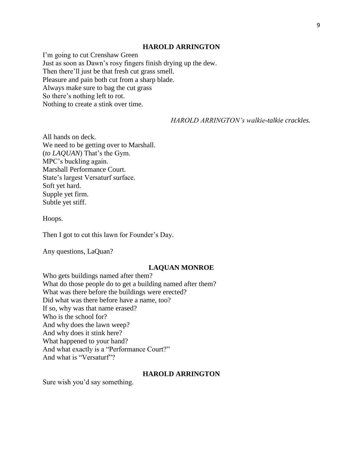#### **HAROLD ARRINGTON**

I'm going to cut Crenshaw Green Just as soon as Dawn's rosy fingers finish drying up the dew. Then there'll just be that fresh cut grass smell. Pleasure and pain both cut from a sharp blade. Always make sure to bag the cut grass So there's nothing left to rot. Nothing to create a stink over time.

*HAROLD ARRINGTON's walkie-talkie crackles.*

All hands on deck. We need to be getting over to Marshall. (*to LAQUAN*) That's the Gym. MPC's buckling again. Marshall Performance Court. State's largest Versaturf surface. Soft yet hard. Supple yet firm. Subtle yet stiff.

Hoops.

Then I got to cut this lawn for Founder's Day.

Any questions, LaQuan?

#### **LAQUAN MONROE**

Who gets buildings named after them? What do those people do to get a building named after them? What was there before the buildings were erected? Did what was there before have a name, too? If so, why was that name erased? Who is the school for? And why does the lawn weep? And why does it stink here? What happened to your hand? And what exactly is a "Performance Court?" And what is "Versaturf"?

#### **HAROLD ARRINGTON**

Sure wish you'd say something.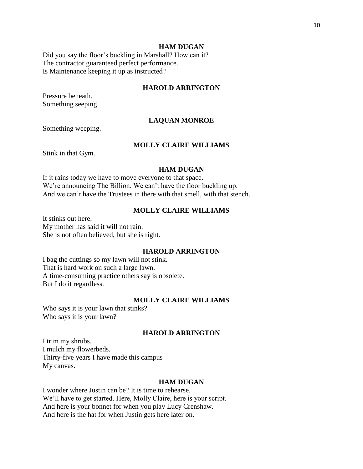Did you say the floor's buckling in Marshall? How can it? The contractor guaranteed perfect performance. Is Maintenance keeping it up as instructed?

### **HAROLD ARRINGTON**

Pressure beneath. Something seeping.

### **LAQUAN MONROE**

Something weeping.

### **MOLLY CLAIRE WILLIAMS**

Stink in that Gym.

#### **HAM DUGAN**

If it rains today we have to move everyone to that space. We're announcing The Billion. We can't have the floor buckling up. And we can't have the Trustees in there with that smell, with that stench.

### **MOLLY CLAIRE WILLIAMS**

It stinks out here. My mother has said it will not rain. She is not often believed, but she is right.

# **HAROLD ARRINGTON**

I bag the cuttings so my lawn will not stink. That is hard work on such a large lawn. A time-consuming practice others say is obsolete. But I do it regardless.

### **MOLLY CLAIRE WILLIAMS**

Who says it is your lawn that stinks? Who says it is your lawn?

# **HAROLD ARRINGTON**

I trim my shrubs. I mulch my flowerbeds. Thirty-five years I have made this campus My canvas.

### **HAM DUGAN**

I wonder where Justin can be? It is time to rehearse. We'll have to get started. Here, Molly Claire, here is your script. And here is your bonnet for when you play Lucy Crenshaw. And here is the hat for when Justin gets here later on.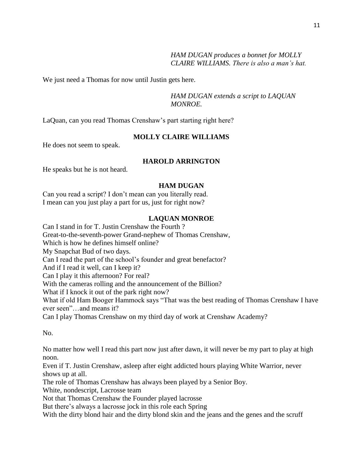*HAM DUGAN produces a bonnet for MOLLY CLAIRE WILLIAMS. There is also a man's hat.*

We just need a Thomas for now until Justin gets here.

*HAM DUGAN extends a script to LAQUAN MONROE.*

LaQuan, can you read Thomas Crenshaw's part starting right here?

# **MOLLY CLAIRE WILLIAMS**

He does not seem to speak.

# **HAROLD ARRINGTON**

He speaks but he is not heard.

# **HAM DUGAN**

Can you read a script? I don't mean can you literally read. I mean can you just play a part for us, just for right now?

# **LAQUAN MONROE**

Can I stand in for T. Justin Crenshaw the Fourth ? Great-to-the-seventh-power Grand-nephew of Thomas Crenshaw, Which is how he defines himself online? My Snapchat Bud of two days. Can I read the part of the school's founder and great benefactor? And if I read it well, can I keep it? Can I play it this afternoon? For real? With the cameras rolling and the announcement of the Billion? What if I knock it out of the park right now? What if old Ham Booger Hammock says "That was the best reading of Thomas Crenshaw I have ever seen"…and means it?

Can I play Thomas Crenshaw on my third day of work at Crenshaw Academy?

No.

No matter how well I read this part now just after dawn, it will never be my part to play at high noon.

Even if T. Justin Crenshaw, asleep after eight addicted hours playing White Warrior, never shows up at all.

The role of Thomas Crenshaw has always been played by a Senior Boy.

White, nondescript, Lacrosse team

Not that Thomas Crenshaw the Founder played lacrosse

But there's always a lacrosse jock in this role each Spring

With the dirty blond hair and the dirty blond skin and the jeans and the genes and the scruff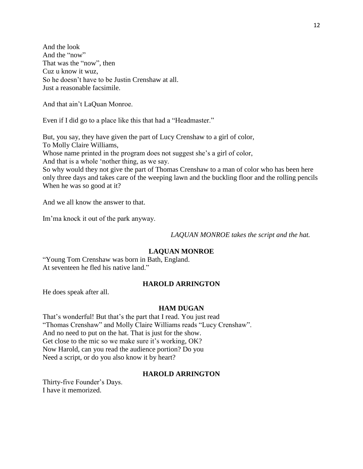And the look And the "now" That was the "now", then Cuz u know it wuz, So he doesn't have to be Justin Crenshaw at all. Just a reasonable facsimile.

And that ain't LaQuan Monroe.

Even if I did go to a place like this that had a "Headmaster."

But, you say, they have given the part of Lucy Crenshaw to a girl of color, To Molly Claire Williams, Whose name printed in the program does not suggest she's a girl of color, And that is a whole 'nother thing, as we say.

So why would they not give the part of Thomas Crenshaw to a man of color who has been here only three days and takes care of the weeping lawn and the buckling floor and the rolling pencils When he was so good at it?

And we all know the answer to that.

Im'ma knock it out of the park anyway.

*LAQUAN MONROE takes the script and the hat.* 

# **LAQUAN MONROE**

"Young Tom Crenshaw was born in Bath, England. At seventeen he fled his native land."

# **HAROLD ARRINGTON**

He does speak after all.

### **HAM DUGAN**

That's wonderful! But that's the part that I read. You just read "Thomas Crenshaw" and Molly Claire Williams reads "Lucy Crenshaw". And no need to put on the hat. That is just for the show. Get close to the mic so we make sure it's working, OK? Now Harold, can you read the audience portion? Do you Need a script, or do you also know it by heart?

### **HAROLD ARRINGTON**

Thirty-five Founder's Days. I have it memorized.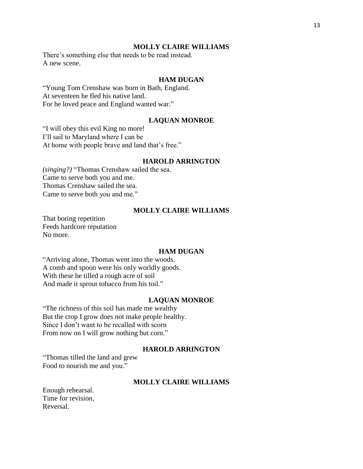There's something else that needs to be read instead. A new scene.

#### **HAM DUGAN**

"Young Tom Crenshaw was born in Bath, England. At seventeen he fled his native land. For he loved peace and England wanted war."

#### **LAQUAN MONROE**

"I will obey this evil King no more! I'll sail to Maryland where I can be At home with people brave and land that's free."

#### **HAROLD ARRINGTON**

*(singing?)* "Thomas Crenshaw sailed the sea. Came to serve both you and me. Thomas Crenshaw sailed the sea. Came to serve both you and me."

#### **MOLLY CLAIRE WILLIAMS**

That boring repetition Feeds hardcore reputation No more.

# **HAM DUGAN**

"Arriving alone, Thomas went into the woods. A comb and spoon were his only worldly goods. With these he tilled a rough acre of soil And made it sprout tobacco from his toil."

#### **LAQUAN MONROE**

"The richness of this soil has made me wealthy But the crop I grow does not make people healthy. Since I don't want to be recalled with scorn From now on I will grow nothing but corn."

#### **HAROLD ARRINGTON**

"Thomas tilled the land and grew Food to nourish me and you."

### **MOLLY CLAIRE WILLIAMS**

Enough rehearsal. Time for revision, Reversal.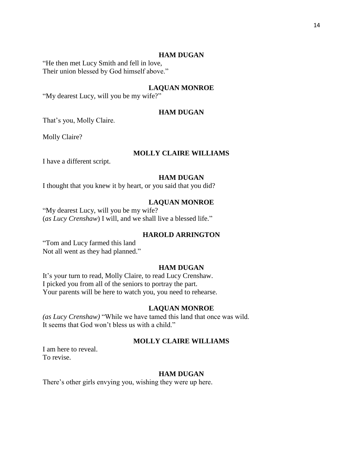#### **HAM DUGAN**

"He then met Lucy Smith and fell in love, Their union blessed by God himself above."

# **LAQUAN MONROE**

"My dearest Lucy, will you be my wife?"

# **HAM DUGAN**

That's you, Molly Claire.

Molly Claire?

# **MOLLY CLAIRE WILLIAMS**

I have a different script.

# **HAM DUGAN**

I thought that you knew it by heart, or you said that you did?

### **LAQUAN MONROE**

"My dearest Lucy, will you be my wife? (*as Lucy Crenshaw*) I will, and we shall live a blessed life."

### **HAROLD ARRINGTON**

"Tom and Lucy farmed this land Not all went as they had planned."

#### **HAM DUGAN**

It's your turn to read, Molly Claire, to read Lucy Crenshaw. I picked you from all of the seniors to portray the part. Your parents will be here to watch you, you need to rehearse.

#### **LAQUAN MONROE**

*(as Lucy Crenshaw)* "While we have tamed this land that once was wild. It seems that God won't bless us with a child."

#### **MOLLY CLAIRE WILLIAMS**

I am here to reveal. To revise.

#### **HAM DUGAN**

There's other girls envying you, wishing they were up here.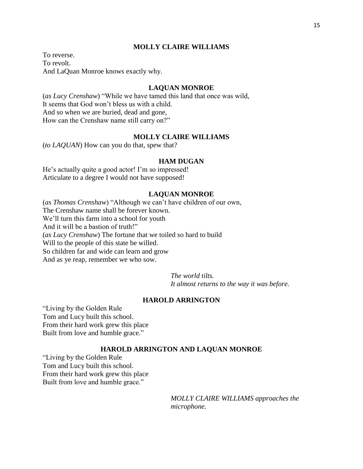To reverse. To revolt. And LaQuan Monroe knows exactly why.

### **LAQUAN MONROE**

(*as Lucy Crenshaw*) "While we have tamed this land that once was wild, It seems that God won't bless us with a child. And so when we are buried, dead and gone, How can the Crenshaw name still carry on?"

# **MOLLY CLAIRE WILLIAMS**

(*to LAQUAN*) How can you do that, spew that?

#### **HAM DUGAN**

He's actually quite a good actor! I'm so impressed! Articulate to a degree I would not have supposed!

#### **LAQUAN MONROE**

(*as Thomas Crenshaw*) "Although we can't have children of our own, The Crenshaw name shall be forever known. We'll turn this farm into a school for youth And it will be a bastion of truth!" (*as Lucy Crenshaw*) The fortune that we toiled so hard to build Will to the people of this state be willed. So children far and wide can learn and grow And as ye reap, remember we who sow.

*The world tilts.*

*It almost returns to the way it was before.*

### **HAROLD ARRINGTON**

"Living by the Golden Rule Tom and Lucy built this school. From their hard work grew this place Built from love and humble grace."

#### **HAROLD ARRINGTON AND LAQUAN MONROE**

"Living by the Golden Rule Tom and Lucy built this school. From their hard work grew this place Built from love and humble grace."

> *MOLLY CLAIRE WILLIAMS approaches the microphone.*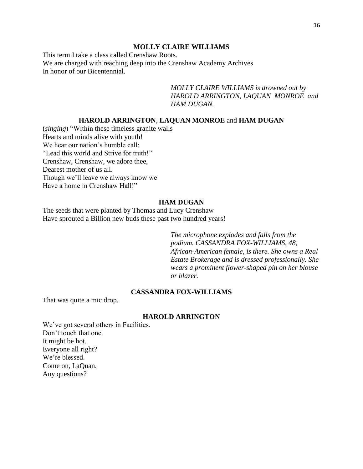This term I take a class called Crenshaw Roots. We are charged with reaching deep into the Crenshaw Academy Archives In honor of our Bicentennial.

> *MOLLY CLAIRE WILLIAMS is drowned out by HAROLD ARRINGTON, LAQUAN MONROE and HAM DUGAN.*

# **HAROLD ARRINGTON**, **LAQUAN MONROE** and **HAM DUGAN**

(*singing*) "Within these timeless granite walls Hearts and minds alive with youth! We hear our nation's humble call: "Lead this world and Strive for truth!" Crenshaw, Crenshaw, we adore thee, Dearest mother of us all. Though we'll leave we always know we Have a home in Crenshaw Hall!"

## **HAM DUGAN**

The seeds that were planted by Thomas and Lucy Crenshaw Have sprouted a Billion new buds these past two hundred years!

> *The microphone explodes and falls from the podium. CASSANDRA FOX-WILLIAMS, 48, African-American female, is there. She owns a Real Estate Brokerage and is dressed professionally. She wears a prominent flower-shaped pin on her blouse or blazer.*

#### **CASSANDRA FOX-WILLIAMS**

That was quite a mic drop.

### **HAROLD ARRINGTON**

We've got several others in Facilities. Don't touch that one. It might be hot. Everyone all right? We're blessed. Come on, LaQuan. Any questions?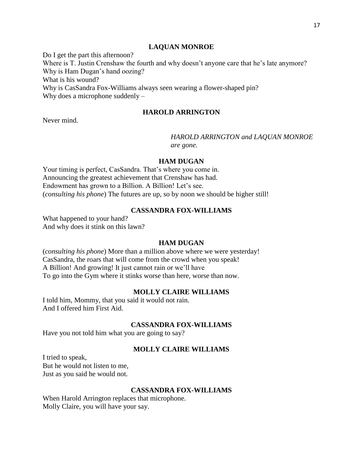### **LAQUAN MONROE**

Do I get the part this afternoon? Where is T. Justin Crenshaw the fourth and why doesn't anyone care that he's late anymore? Why is Ham Dugan's hand oozing? What is his wound? Why is CasSandra Fox-Williams always seen wearing a flower-shaped pin? Why does a microphone suddenly –

### **HAROLD ARRINGTON**

Never mind.

# *HAROLD ARRINGTON and LAQUAN MONROE are gone.*

#### **HAM DUGAN**

Your timing is perfect, CasSandra. That's where you come in. Announcing the greatest achievement that Crenshaw has had. Endowment has grown to a Billion. A Billion! Let's see. (*consulting his phone*) The futures are up, so by noon we should be higher still!

# **CASSANDRA FOX-WILLIAMS**

What happened to your hand? And why does it stink on this lawn?

### **HAM DUGAN**

(*consulting his phone*) More than a million above where we were yesterday! CasSandra, the roars that will come from the crowd when you speak! A Billion! And growing! It just cannot rain or we'll have To go into the Gym where it stinks worse than here, worse than now.

#### **MOLLY CLAIRE WILLIAMS**

I told him, Mommy, that you said it would not rain. And I offered him First Aid.

### **CASSANDRA FOX-WILLIAMS**

Have you not told him what you are going to say?

### **MOLLY CLAIRE WILLIAMS**

I tried to speak, But he would not listen to me, Just as you said he would not.

### **CASSANDRA FOX-WILLIAMS**

When Harold Arrington replaces that microphone. Molly Claire, you will have your say.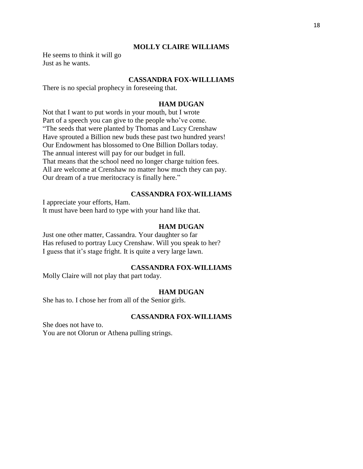He seems to think it will go Just as he wants.

#### **CASSANDRA FOX-WILLLIAMS**

There is no special prophecy in foreseeing that.

#### **HAM DUGAN**

Not that I want to put words in your mouth, but I wrote Part of a speech you can give to the people who've come. "The seeds that were planted by Thomas and Lucy Crenshaw Have sprouted a Billion new buds these past two hundred years! Our Endowment has blossomed to One Billion Dollars today. The annual interest will pay for our budget in full. That means that the school need no longer charge tuition fees. All are welcome at Crenshaw no matter how much they can pay. Our dream of a true meritocracy is finally here."

#### **CASSANDRA FOX-WILLIAMS**

I appreciate your efforts, Ham.

It must have been hard to type with your hand like that.

### **HAM DUGAN**

Just one other matter, Cassandra. Your daughter so far Has refused to portray Lucy Crenshaw. Will you speak to her? I guess that it's stage fright. It is quite a very large lawn.

# **CASSANDRA FOX-WILLIAMS**

Molly Claire will not play that part today.

#### **HAM DUGAN**

She has to. I chose her from all of the Senior girls.

## **CASSANDRA FOX-WILLIAMS**

She does not have to. You are not Olorun or Athena pulling strings.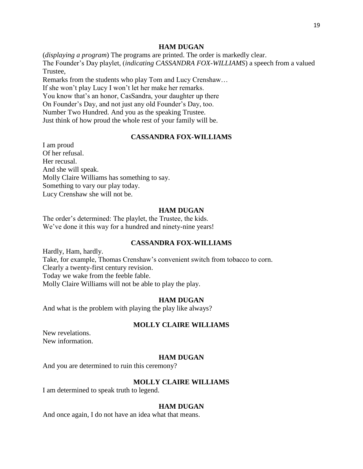#### **HAM DUGAN**

(*displaying a program*) The programs are printed. The order is markedly clear. The Founder's Day playlet, (*indicating CASSANDRA FOX-WILLIAMS*) a speech from a valued Trustee,

Remarks from the students who play Tom and Lucy Crenshaw… If she won't play Lucy I won't let her make her remarks. You know that's an honor, CasSandra, your daughter up there On Founder's Day, and not just any old Founder's Day, too. Number Two Hundred. And you as the speaking Trustee. Just think of how proud the whole rest of your family will be.

# **CASSANDRA FOX-WILLIAMS**

I am proud Of her refusal. Her recusal. And she will speak. Molly Claire Williams has something to say. Something to vary our play today. Lucy Crenshaw she will not be.

#### **HAM DUGAN**

The order's determined: The playlet, the Trustee, the kids. We've done it this way for a hundred and ninety-nine years!

#### **CASSANDRA FOX-WILLIAMS**

Hardly, Ham, hardly. Take, for example, Thomas Crenshaw's convenient switch from tobacco to corn. Clearly a twenty-first century revision. Today we wake from the feeble fable. Molly Claire Williams will not be able to play the play.

#### **HAM DUGAN**

And what is the problem with playing the play like always?

#### **MOLLY CLAIRE WILLIAMS**

New revelations. New information.

#### **HAM DUGAN**

And you are determined to ruin this ceremony?

# **MOLLY CLAIRE WILLIAMS**

I am determined to speak truth to legend.

#### **HAM DUGAN**

And once again, I do not have an idea what that means.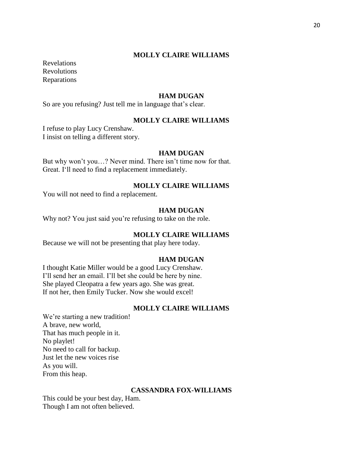Revelations Revolutions Reparations

### **HAM DUGAN**

So are you refusing? Just tell me in language that's clear.

### **MOLLY CLAIRE WILLIAMS**

I refuse to play Lucy Crenshaw. I insist on telling a different story.

#### **HAM DUGAN**

But why won't you…? Never mind. There isn't time now for that. Great. I'll need to find a replacement immediately.

# **MOLLY CLAIRE WILLIAMS**

You will not need to find a replacement.

### **HAM DUGAN**

Why not? You just said you're refusing to take on the role.

# **MOLLY CLAIRE WILLIAMS**

Because we will not be presenting that play here today.

#### **HAM DUGAN**

I thought Katie Miller would be a good Lucy Crenshaw. I'll send her an email. I'll bet she could be here by nine. She played Cleopatra a few years ago. She was great. If not her, then Emily Tucker. Now she would excel!

#### **MOLLY CLAIRE WILLIAMS**

We're starting a new tradition! A brave, new world, That has much people in it. No playlet! No need to call for backup. Just let the new voices rise As you will. From this heap.

# **CASSANDRA FOX-WILLIAMS**

This could be your best day, Ham. Though I am not often believed.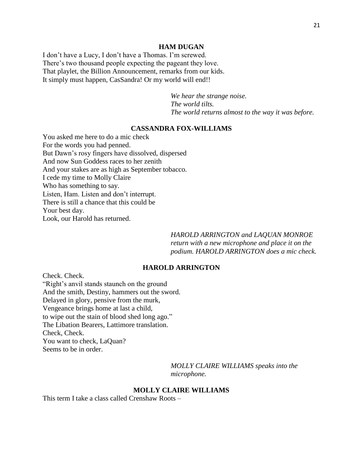# **HAM DUGAN**

I don't have a Lucy, I don't have a Thomas. I'm screwed. There's two thousand people expecting the pageant they love. That playlet, the Billion Announcement, remarks from our kids. It simply must happen, CasSandra! Or my world will end!!

> *We hear the strange noise. The world tilts. The world returns almost to the way it was before.*

### **CASSANDRA FOX-WILLIAMS**

You asked me here to do a mic check For the words you had penned. But Dawn's rosy fingers have dissolved, dispersed And now Sun Goddess races to her zenith And your stakes are as high as September tobacco. I cede my time to Molly Claire Who has something to say. Listen, Ham. Listen and don't interrupt. There is still a chance that this could be Your best day. Look, our Harold has returned.

> *HAROLD ARRINGTON and LAQUAN MONROE return with a new microphone and place it on the podium. HAROLD ARRINGTON does a mic check.*

# **HAROLD ARRINGTON**

Check. Check. "Right's anvil stands staunch on the ground And the smith, Destiny, hammers out the sword. Delayed in glory, pensive from the murk, Vengeance brings home at last a child, to wipe out the stain of blood shed long ago." The Libation Bearers, Lattimore translation. Check, Check. You want to check, LaQuan? Seems to be in order.

> *MOLLY CLAIRE WILLIAMS speaks into the microphone.*

#### **MOLLY CLAIRE WILLIAMS**

This term I take a class called Crenshaw Roots –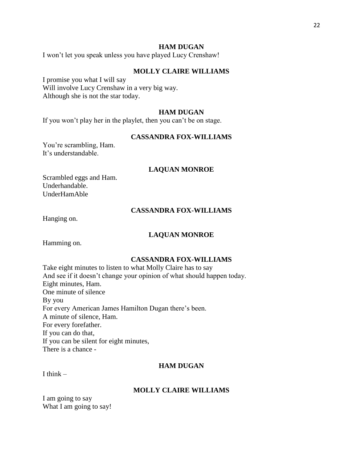#### **HAM DUGAN**

I won't let you speak unless you have played Lucy Crenshaw!

#### **MOLLY CLAIRE WILLIAMS**

I promise you what I will say Will involve Lucy Crenshaw in a very big way. Although she is not the star today.

#### **HAM DUGAN**

If you won't play her in the playlet, then you can't be on stage.

# **CASSANDRA FOX-WILLIAMS**

You're scrambling, Ham. It's understandable.

#### **LAQUAN MONROE**

Scrambled eggs and Ham. Underhandable. UnderHamAble

### **CASSANDRA FOX-WILLIAMS**

Hanging on.

### **LAQUAN MONROE**

Hamming on.

#### **CASSANDRA FOX-WILLIAMS**

Take eight minutes to listen to what Molly Claire has to say And see if it doesn't change your opinion of what should happen today. Eight minutes, Ham. One minute of silence By you For every American James Hamilton Dugan there's been. A minute of silence, Ham. For every forefather. If you can do that, If you can be silent for eight minutes, There is a chance -

# **HAM DUGAN**

I think  $-$ 

#### **MOLLY CLAIRE WILLIAMS**

I am going to say What I am going to say!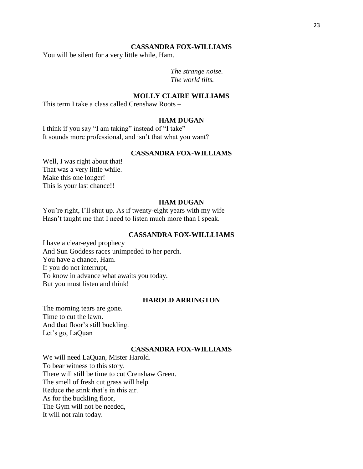#### **CASSANDRA FOX-WILLIAMS**

You will be silent for a very little while, Ham.

*The strange noise. The world tilts.*

### **MOLLY CLAIRE WILLIAMS**

This term I take a class called Crenshaw Roots –

#### **HAM DUGAN**

I think if you say "I am taking" instead of "I take" It sounds more professional, and isn't that what you want?

# **CASSANDRA FOX-WILLIAMS**

Well, I was right about that! That was a very little while. Make this one longer! This is your last chance!!

### **HAM DUGAN**

You're right, I'll shut up. As if twenty-eight years with my wife Hasn't taught me that I need to listen much more than I speak.

#### **CASSANDRA FOX-WILLLIAMS**

I have a clear-eyed prophecy And Sun Goddess races unimpeded to her perch. You have a chance, Ham. If you do not interrupt, To know in advance what awaits you today. But you must listen and think!

### **HAROLD ARRINGTON**

The morning tears are gone. Time to cut the lawn. And that floor's still buckling. Let's go, LaQuan

### **CASSANDRA FOX-WILLIAMS**

We will need LaQuan, Mister Harold. To bear witness to this story. There will still be time to cut Crenshaw Green. The smell of fresh cut grass will help Reduce the stink that's in this air. As for the buckling floor, The Gym will not be needed, It will not rain today.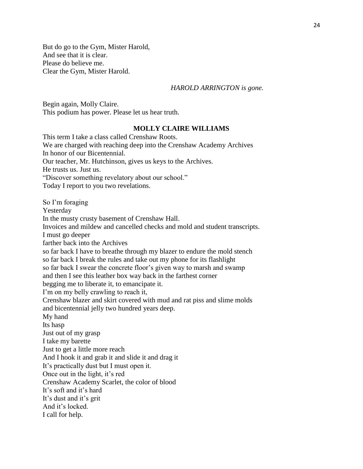But do go to the Gym, Mister Harold, And see that it is clear. Please do believe me. Clear the Gym, Mister Harold.

#### *HAROLD ARRINGTON is gone.*

Begin again, Molly Claire. This podium has power. Please let us hear truth.

### **MOLLY CLAIRE WILLIAMS**

This term I take a class called Crenshaw Roots. We are charged with reaching deep into the Crenshaw Academy Archives In honor of our Bicentennial. Our teacher, Mr. Hutchinson, gives us keys to the Archives. He trusts us. Just us. "Discover something revelatory about our school." Today I report to you two revelations. So I'm foraging Yesterday In the musty crusty basement of Crenshaw Hall. Invoices and mildew and cancelled checks and mold and student transcripts. I must go deeper farther back into the Archives so far back I have to breathe through my blazer to endure the mold stench so far back I break the rules and take out my phone for its flashlight so far back I swear the concrete floor's given way to marsh and swamp and then I see this leather box way back in the farthest corner begging me to liberate it, to emancipate it. I'm on my belly crawling to reach it, Crenshaw blazer and skirt covered with mud and rat piss and slime molds and bicentennial jelly two hundred years deep. My hand Its hasp Just out of my grasp I take my barette Just to get a little more reach And I hook it and grab it and slide it and drag it It's practically dust but I must open it. Once out in the light, it's red Crenshaw Academy Scarlet, the color of blood It's soft and it's hard It's dust and it's grit And it's locked. I call for help.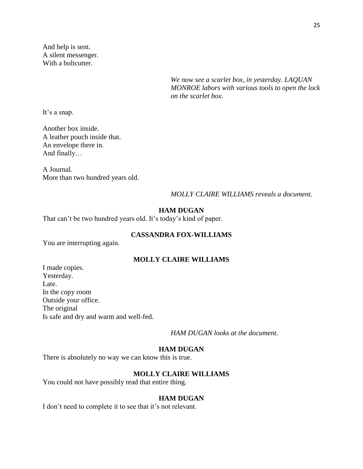And help is sent. A silent messenger. With a boltcutter.

> *We now see a scarlet box, in yesterday. LAQUAN MONROE labors with various tools to open the lock on the scarlet box.*

It's a snap.

Another box inside. A leather pouch inside that. An envelope there in. And finally…

A Journal. More than two hundred years old.

# *MOLLY CLAIRE WILLIAMS reveals a document.*

#### **HAM DUGAN**

That can't be two hundred years old. It's today's kind of paper.

# **CASSANDRA FOX-WILLIAMS**

You are interrupting again.

# **MOLLY CLAIRE WILLIAMS**

I made copies. Yesterday. Late. In the copy room Outside your office. The original Is safe and dry and warm and well-fed.

*HAM DUGAN looks at the document.*

### **HAM DUGAN**

There is absolutely no way we can know this is true.

### **MOLLY CLAIRE WILLIAMS**

You could not have possibly read that entire thing.

#### **HAM DUGAN**

I don't need to complete it to see that it's not relevant.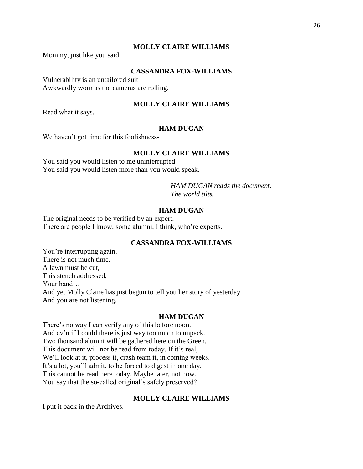Mommy, just like you said.

# **CASSANDRA FOX-WILLIAMS**

Vulnerability is an untailored suit Awkwardly worn as the cameras are rolling.

# **MOLLY CLAIRE WILLIAMS**

Read what it says.

# **HAM DUGAN**

We haven't got time for this foolishness-

#### **MOLLY CLAIRE WILLIAMS**

You said you would listen to me uninterrupted. You said you would listen more than you would speak.

> *HAM DUGAN reads the document. The world tilts.*

### **HAM DUGAN**

The original needs to be verified by an expert. There are people I know, some alumni, I think, who're experts.

### **CASSANDRA FOX-WILLIAMS**

You're interrupting again. There is not much time. A lawn must be cut, This stench addressed, Your hand… And yet Molly Claire has just begun to tell you her story of yesterday And you are not listening.

#### **HAM DUGAN**

There's no way I can verify any of this before noon. And ev'n if I could there is just way too much to unpack. Two thousand alumni will be gathered here on the Green. This document will not be read from today. If it's real, We'll look at it, process it, crash team it, in coming weeks. It's a lot, you'll admit, to be forced to digest in one day. This cannot be read here today. Maybe later, not now. You say that the so-called original's safely preserved?

# **MOLLY CLAIRE WILLIAMS**

I put it back in the Archives.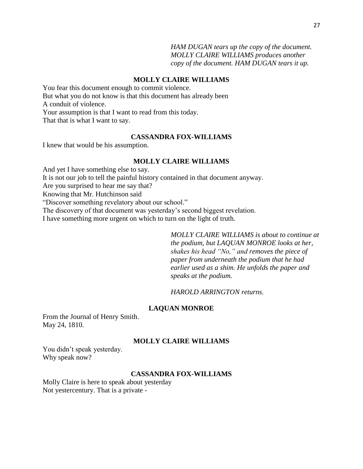*HAM DUGAN tears up the copy of the document. MOLLY CLAIRE WILLIAMS produces another copy of the document. HAM DUGAN tears it up.*

### **MOLLY CLAIRE WILLIAMS**

You fear this document enough to commit violence. But what you do not know is that this document has already been A conduit of violence. Your assumption is that I want to read from this today. That that is what I want to say.

# **CASSANDRA FOX-WILLIAMS**

I knew that would be his assumption.

### **MOLLY CLAIRE WILLIAMS**

And yet I have something else to say. It is not our job to tell the painful history contained in that document anyway. Are you surprised to hear me say that?

Knowing that Mr. Hutchinson said

"Discover something revelatory about our school."

The discovery of that document was yesterday's second biggest revelation.

I have something more urgent on which to turn on the light of truth.

*MOLLY CLAIRE WILLIAMS is about to continue at the podium, but LAQUAN MONROE looks at her, shakes his head "No," and removes the piece of paper from underneath the podium that he had earlier used as a shim. He unfolds the paper and speaks at the podium.*

*HAROLD ARRINGTON returns.*

#### **LAQUAN MONROE**

From the Journal of Henry Smith. May 24, 1810.

#### **MOLLY CLAIRE WILLIAMS**

You didn't speak yesterday. Why speak now?

#### **CASSANDRA FOX-WILLIAMS**

Molly Claire is here to speak about yesterday Not yestercentury. That is a private -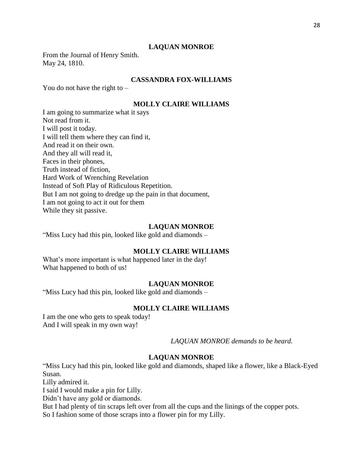### **LAQUAN MONROE**

From the Journal of Henry Smith. May 24, 1810.

# **CASSANDRA FOX-WILLIAMS**

You do not have the right to  $-$ 

# **MOLLY CLAIRE WILLIAMS**

I am going to summarize what it says Not read from it. I will post it today. I will tell them where they can find it, And read it on their own. And they all will read it, Faces in their phones, Truth instead of fiction, Hard Work of Wrenching Revelation Instead of Soft Play of Ridiculous Repetition. But I am not going to dredge up the pain in that document, I am not going to act it out for them While they sit passive.

#### **LAQUAN MONROE**

"Miss Lucy had this pin, looked like gold and diamonds –

# **MOLLY CLAIRE WILLIAMS**

What's more important is what happened later in the day! What happened to both of us!

#### **LAQUAN MONROE**

"Miss Lucy had this pin, looked like gold and diamonds –

### **MOLLY CLAIRE WILLIAMS**

I am the one who gets to speak today! And I will speak in my own way!

*LAQUAN MONROE demands to be heard.*

#### **LAQUAN MONROE**

"Miss Lucy had this pin, looked like gold and diamonds, shaped like a flower, like a Black-Eyed Susan.

Lilly admired it.

I said I would make a pin for Lilly.

Didn't have any gold or diamonds.

But I had plenty of tin scraps left over from all the cups and the linings of the copper pots.

So I fashion some of those scraps into a flower pin for my Lilly.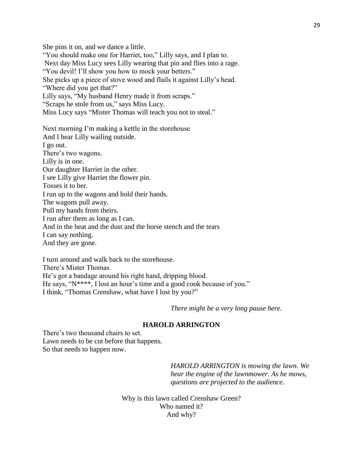She pins it on, and we dance a little. "You should make one for Harriet, too," Lilly says, and I plan to. Next day Miss Lucy sees Lilly wearing that pin and flies into a rage. "You devil! I'll show you how to mock your betters." She picks up a piece of stove wood and flails it against Lilly's head. "Where did you get that?" Lilly says, "My husband Henry made it from scraps." "Scraps he stole from us," says Miss Lucy. Miss Lucy says "Mister Thomas will teach you not to steal."

Next morning I'm making a kettle in the storehouse And I hear Lilly wailing outside. I go out. There's two wagons. Lilly is in one. Our daughter Harriet in the other. I see Lilly give Harriet the flower pin. Tosses it to her. I run up to the wagons and hold their hands. The wagons pull away. Pull my hands from theirs. I run after them as long as I can. And in the heat and the dust and the horse stench and the tears I can say nothing. And they are gone.

I turn around and walk back to the storehouse. There's Mister Thomas. He's got a bandage around his right hand, dripping blood. He says, "N\*\*\*\*, I lost an hour's time and a good cook because of you." I think, "Thomas Crenshaw, what have I lost by you?"

*There might be a very long pause here.*

#### **HAROLD ARRINGTON**

There's two thousand chairs to set. Lawn needs to be cut before that happens. So that needs to happen now.

> *HAROLD ARRINGTON is mowing the lawn. We hear the engine of the lawnmower. As he mows, questions are projected to the audience.*

Why is this lawn called Crenshaw Green? Who named it? And why?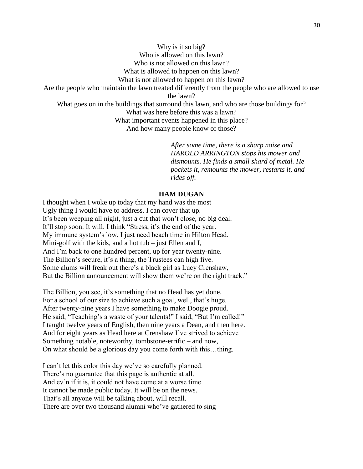Why is it so big? Who is allowed on this lawn? Who is not allowed on this lawn? What is allowed to happen on this lawn? What is not allowed to happen on this lawn? Are the people who maintain the lawn treated differently from the people who are allowed to use the lawn? What goes on in the buildings that surround this lawn, and who are those buildings for? What was here before this was a lawn? What important events happened in this place? And how many people know of those?

> *After some time, there is a sharp noise and HAROLD ARRINGTON stops his mower and dismounts. He finds a small shard of metal. He pockets it, remounts the mower, restarts it, and rides off.*

### **HAM DUGAN**

I thought when I woke up today that my hand was the most Ugly thing I would have to address. I can cover that up. It's been weeping all night, just a cut that won't close, no big deal. It'll stop soon. It will. I think "Stress, it's the end of the year. My immune system's low, I just need beach time in Hilton Head. Mini-golf with the kids, and a hot tub  $-$  just Ellen and I, And I'm back to one hundred percent, up for year twenty-nine. The Billion's secure, it's a thing, the Trustees can high five. Some alums will freak out there's a black girl as Lucy Crenshaw, But the Billion announcement will show them we're on the right track."

The Billion, you see, it's something that no Head has yet done. For a school of our size to achieve such a goal, well, that's huge. After twenty-nine years I have something to make Doogie proud. He said, "Teaching's a waste of your talents!" I said, "But I'm called!" I taught twelve years of English, then nine years a Dean, and then here. And for eight years as Head here at Crenshaw I've strived to achieve Something notable, noteworthy, tombstone-errific – and now, On what should be a glorious day you come forth with this…thing.

I can't let this color this day we've so carefully planned. There's no guarantee that this page is authentic at all. And ev'n if it is, it could not have come at a worse time. It cannot be made public today. It will be on the news. That's all anyone will be talking about, will recall. There are over two thousand alumni who've gathered to sing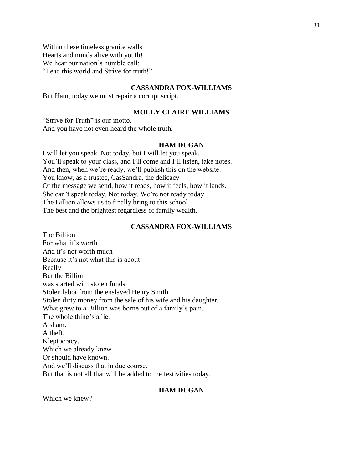Within these timeless granite walls Hearts and minds alive with youth! We hear our nation's humble call: "Lead this world and Strive for truth!"

### **CASSANDRA FOX-WILLIAMS**

But Ham, today we must repair a corrupt script.

# **MOLLY CLAIRE WILLIAMS**

"Strive for Truth" is our motto. And you have not even heard the whole truth.

#### **HAM DUGAN**

I will let you speak. Not today, but I will let you speak. You'll speak to your class, and I'll come and I'll listen, take notes. And then, when we're ready, we'll publish this on the website. You know, as a trustee, CasSandra, the delicacy Of the message we send, how it reads, how it feels, how it lands. She can't speak today. Not today. We're not ready today. The Billion allows us to finally bring to this school The best and the brightest regardless of family wealth.

#### **CASSANDRA FOX-WILLIAMS**

The Billion For what it's worth And it's not worth much Because it's not what this is about Really But the Billion was started with stolen funds Stolen labor from the enslaved Henry Smith Stolen dirty money from the sale of his wife and his daughter. What grew to a Billion was borne out of a family's pain. The whole thing's a lie. A sham. A theft. Kleptocracy. Which we already knew Or should have known. And we'll discuss that in due course. But that is not all that will be added to the festivities today.

#### **HAM DUGAN**

Which we knew?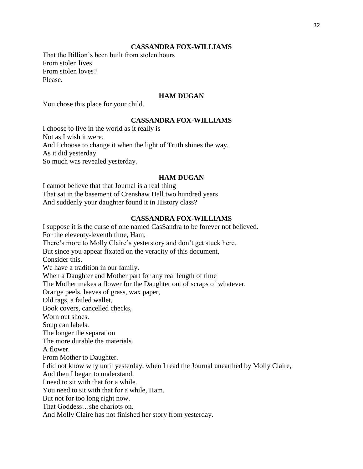#### **CASSANDRA FOX-WILLIAMS**

That the Billion's been built from stolen hours From stolen lives From stolen loves? Please.

# **HAM DUGAN**

You chose this place for your child.

### **CASSANDRA FOX-WILLIAMS**

I choose to live in the world as it really is Not as I wish it were. And I choose to change it when the light of Truth shines the way. As it did yesterday. So much was revealed yesterday.

#### **HAM DUGAN**

I cannot believe that that Journal is a real thing That sat in the basement of Crenshaw Hall two hundred years And suddenly your daughter found it in History class?

# **CASSANDRA FOX-WILLIAMS**

I suppose it is the curse of one named CasSandra to be forever not believed. For the eleventy-leventh time, Ham, There's more to Molly Claire's yesterstory and don't get stuck here. But since you appear fixated on the veracity of this document, Consider this. We have a tradition in our family. When a Daughter and Mother part for any real length of time The Mother makes a flower for the Daughter out of scraps of whatever. Orange peels, leaves of grass, wax paper, Old rags, a failed wallet, Book covers, cancelled checks, Worn out shoes. Soup can labels. The longer the separation The more durable the materials. A flower. From Mother to Daughter. I did not know why until yesterday, when I read the Journal unearthed by Molly Claire, And then I began to understand. I need to sit with that for a while. You need to sit with that for a while, Ham. But not for too long right now. That Goddess…she chariots on. And Molly Claire has not finished her story from yesterday.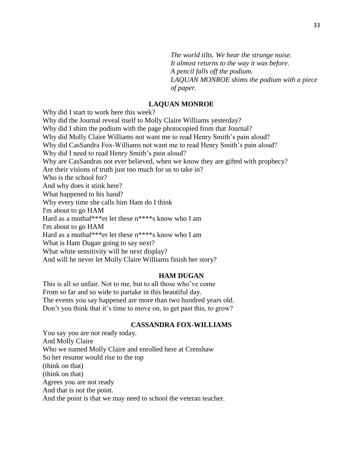*The world tilts. We hear the strange noise. It almost returns to the way it was before. A pencil falls off the podium. LAQUAN MONROE shims the podium with a piece of paper.*

### **LAQUAN MONROE**

Why did I start to work here this week? Why did the Journal reveal itself to Molly Claire Williams yesterday? Why did I shim the podium with the page photocopied from that Journal? Why did Molly Claire Williams not want me to read Henry Smith's pain aloud? Why did CasSandra Fox-Williams not want me to read Henry Smith's pain aloud? Why did I need to read Henry Smith's pain aloud? Why are CasSandras not ever believed, when we know they are gifted with prophecy? Are their visions of truth just too much for us to take in? Who is the school for? And why does it stink here? What happened to his hand? Why every time she calls him Ham do I think I'm about to go HAM Hard as a mothaf\*\*\*er let these n\*\*\*\*s know who I am I'm about to go HAM Hard as a mothaf\*\*\*er let these n\*\*\*\*s know who I am What is Ham Dugan going to say next? What white sensitivity will he next display? And will he never let Molly Claire Williams finish her story?

#### **HAM DUGAN**

This is all so unfair. Not to me, but to all those who've come From so far and so wide to partake in this beautiful day. The events you say happened are more than two hundred years old. Don't you think that it's time to move on, to get past this, to grow?

#### **CASSANDRA FOX-WILLIAMS**

You say you are not ready today. And Molly Claire Who we named Molly Claire and enrolled here at Crenshaw So her resume would rise to the top (think on that) (think on that) Agrees you are not ready And that is not the point. And the point is that we may need to school the veteran teacher.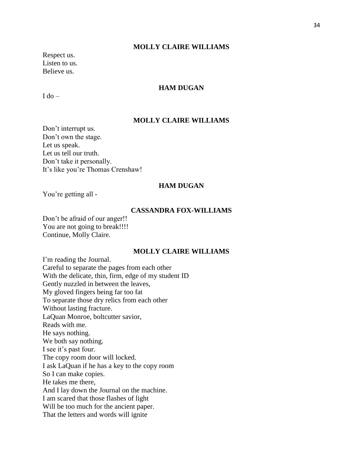Respect us. Listen to us. Believe us.

# **HAM DUGAN**

 $I$  do  $-$ 

# **MOLLY CLAIRE WILLIAMS**

Don't interrupt us. Don't own the stage. Let us speak. Let us tell our truth. Don't take it personally. It's like you're Thomas Crenshaw!

#### **HAM DUGAN**

You're getting all -

#### **CASSANDRA FOX-WILLIAMS**

Don't be afraid of our anger!! You are not going to break!!!! Continue, Molly Claire.

# **MOLLY CLAIRE WILLIAMS**

I'm reading the Journal. Careful to separate the pages from each other With the delicate, thin, firm, edge of my student ID Gently nuzzled in between the leaves, My gloved fingers being far too fat To separate those dry relics from each other Without lasting fracture. LaQuan Monroe, boltcutter savior, Reads with me. He says nothing. We both say nothing. I see it's past four. The copy room door will locked. I ask LaQuan if he has a key to the copy room So I can make copies. He takes me there, And I lay down the Journal on the machine. I am scared that those flashes of light Will be too much for the ancient paper. That the letters and words will ignite